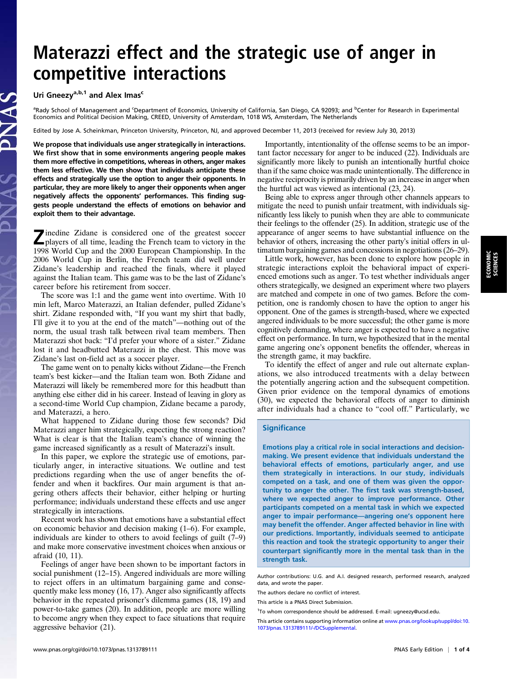## Materazzi effect and the strategic use of anger in competitive interactions

Uri Gneezy<sup>a,b,1</sup> and Alex Imas<sup>c</sup>

<sup>a</sup>Rady School of Management and <sup>c</sup>Department of Economics, University of California, San Diego, CA 92093; and <sup>b</sup>Center for Research in Experimental Economics and Political Decision Making, CREED, University of Amsterdam, 1018 WS, Amsterdam, The Netherlands

Edited by Jose A. Scheinkman, Princeton University, Princeton, NJ, and approved December 11, 2013 (received for review July 30, 2013)

We propose that individuals use anger strategically in interactions. We first show that in some environments angering people makes them more effective in competitions, whereas in others, anger makes them less effective. We then show that individuals anticipate these effects and strategically use the option to anger their opponents. In particular, they are more likely to anger their opponents when anger negatively affects the opponents' performances. This finding suggests people understand the effects of emotions on behavior and exploit them to their advantage.

Zinedine Zidane is considered one of the greatest soccer<br>players of all time, leading the French team to victory in the 1998 World Cup and the 2000 European Championship. In the 2006 World Cup in Berlin, the French team did well under Zidane's leadership and reached the finals, where it played against the Italian team. This game was to be the last of Zidane's career before his retirement from soccer.

The score was 1:1 and the game went into overtime. With 10 min left, Marco Materazzi, an Italian defender, pulled Zidane's shirt. Zidane responded with, "If you want my shirt that badly, I'll give it to you at the end of the match"—nothing out of the norm, the usual trash talk between rival team members. Then Materazzi shot back: "I'd prefer your whore of a sister." Zidane lost it and headbutted Materazzi in the chest. This move was Zidane's last on-field act as a soccer player.

The game went on to penalty kicks without Zidane—the French team's best kicker—and the Italian team won. Both Zidane and Materazzi will likely be remembered more for this headbutt than anything else either did in his career. Instead of leaving in glory as a second-time World Cup champion, Zidane became a parody, and Materazzi, a hero.

What happened to Zidane during those few seconds? Did Materazzi anger him strategically, expecting the strong reaction? What is clear is that the Italian team's chance of winning the game increased significantly as a result of Materazzi's insult.

In this paper, we explore the strategic use of emotions, particularly anger, in interactive situations. We outline and test predictions regarding when the use of anger benefits the offender and when it backfires. Our main argument is that angering others affects their behavior, either helping or hurting performance; individuals understand these effects and use anger strategically in interactions.

Recent work has shown that emotions have a substantial effect on economic behavior and decision making (1–6). For example, individuals are kinder to others to avoid feelings of guilt (7–9) and make more conservative investment choices when anxious or afraid (10, 11).

Feelings of anger have been shown to be important factors in social punishment (12–15). Angered individuals are more willing to reject offers in an ultimatum bargaining game and consequently make less money (16, 17). Anger also significantly affects behavior in the repeated prisoner's dilemma games (18, 19) and power-to-take games (20). In addition, people are more willing to become angry when they expect to face situations that require aggressive behavior (21).

Importantly, intentionality of the offense seems to be an important factor necessary for anger to be induced (22). Individuals are significantly more likely to punish an intentionally hurtful choice than if the same choice was made unintentionally. The difference in negative reciprocity is primarily driven by an increase in anger when the hurtful act was viewed as intentional (23, 24).

Being able to express anger through other channels appears to mitigate the need to punish unfair treatment, with individuals significantly less likely to punish when they are able to communicate their feelings to the offender (25). In addition, strategic use of the appearance of anger seems to have substantial influence on the behavior of others, increasing the other party's initial offers in ultimatum bargaining games and concessions in negotiations (26–29).

Little work, however, has been done to explore how people in strategic interactions exploit the behavioral impact of experienced emotions such as anger. To test whether individuals anger others strategically, we designed an experiment where two players are matched and compete in one of two games. Before the competition, one is randomly chosen to have the option to anger his opponent. One of the games is strength-based, where we expected angered individuals to be more successful; the other game is more cognitively demanding, where anger is expected to have a negative effect on performance. In turn, we hypothesized that in the mental game angering one's opponent benefits the offender, whereas in the strength game, it may backfire.

To identify the effect of anger and rule out alternate explanations, we also introduced treatments with a delay between the potentially angering action and the subsequent competition. Given prior evidence on the temporal dynamics of emotions (30), we expected the behavioral effects of anger to diminish after individuals had a chance to "cool off." Particularly, we

## **Significance**

Emotions play a critical role in social interactions and decisionmaking. We present evidence that individuals understand the behavioral effects of emotions, particularly anger, and use them strategically in interactions. In our study, individuals competed on a task, and one of them was given the opportunity to anger the other. The first task was strength-based, where we expected anger to improve performance. Other participants competed on a mental task in which we expected anger to impair performance—angering one's opponent here may benefit the offender. Anger affected behavior in line with our predictions. Importantly, individuals seemed to anticipate this reaction and took the strategic opportunity to anger their counterpart significantly more in the mental task than in the strength task.

Author contributions: U.G. and A.I. designed research, performed research, analyzed data, and wrote the paper.

The authors declare no conflict of interest.

<sup>1</sup>To whom correspondence should be addressed. E-mail: [ugneezy@ucsd.edu.](mailto:ugneezy@ucsd.edu)

This article is a PNAS Direct Submission.

This article contains supporting information online at [www.pnas.org/lookup/suppl/doi:10.](http://www.pnas.org/lookup/suppl/doi:10.1073/pnas.1313789111/-/DCSupplemental) [1073/pnas.1313789111/-/DCSupplemental](http://www.pnas.org/lookup/suppl/doi:10.1073/pnas.1313789111/-/DCSupplemental).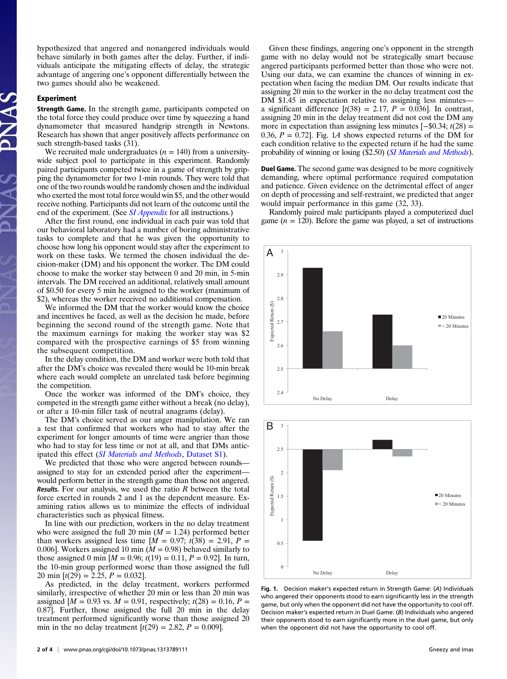hypothesized that angered and nonangered individuals would behave similarly in both games after the delay. Further, if individuals anticipate the mitigating effects of delay, the strategic advantage of angering one's opponent differentially between the two games should also be weakened.

**Strength Game.** In the strength game, participants competed on the total force they could produce over time by squeezing a hand the total force they could produce over time by squeezing a hand dynamometer that measured handgrip strength in Newtons. Research has shown that anger positively affects performance on such strength-based tasks (31).

We recruited male undergraduates ( $n = 140$ ) from a universitywide subject pool to participate in this experiment. Randomly paired participants competed twice in a game of strength by gripping the dynamometer for two 1-min rounds. They were told that one of the two rounds would be randomly chosen and the individual who exerted the most total force would win \$5, and the other would receive nothing. Participants did not learn of the outcome until the end of the experiment. (See *[SI Appendix](http://www.pnas.org/lookup/suppl/doi:10.1073/pnas.1313789111/-/DCSupplemental/sapp.pdf)* for all instructions.)

After the first round, one individual in each pair was told that our behavioral laboratory had a number of boring administrative tasks to complete and that he was given the opportunity to choose how long his opponent would stay after the experiment to work on these tasks. We termed the chosen individual the decision-maker (DM) and his opponent the worker. The DM could choose to make the worker stay between 0 and 20 min, in 5-min intervals. The DM received an additional, relatively small amount of \$0.50 for every 5 min he assigned to the worker (maximum of \$2), whereas the worker received no additional compensation.

We informed the DM that the worker would know the choice and incentives he faced, as well as the decision he made, before beginning the second round of the strength game. Note that the maximum earnings for making the worker stay was \$2 compared with the prospective earnings of \$5 from winning the subsequent competition.

In the delay condition, the DM and worker were both told that after the DM's choice was revealed there would be 10-min break where each would complete an unrelated task before beginning the competition.

Once the worker was informed of the DM's choice, they competed in the strength game either without a break (no delay), or after a 10-min filler task of neutral anagrams (delay).

The DM's choice served as our anger manipulation. We ran a test that confirmed that workers who had to stay after the experiment for longer amounts of time were angrier than those who had to stay for less time or not at all, and that DMs antic-ipated this effect ([SI Materials and Methods](http://www.pnas.org/lookup/suppl/doi:10.1073/pnas.1313789111/-/DCSupplemental/pnas.201313789SI.pdf?targetid=nameddest=STXT), [Dataset S1](http://www.pnas.org/lookup/suppl/doi:10.1073/pnas.1313789111/-/DCSupplemental/sd01.xlsx)).

We predicted that those who were angered between rounds assigned to stay for an extended period after the experiment would perform better in the strength game than those not angered. Results. For our analysis, we used the ratio  $R$  between the total force exerted in rounds 2 and 1 as the dependent measure. Examining ratios allows us to minimize the effects of individual characteristics such as physical fitness.

In line with our prediction, workers in the no delay treatment who were assigned the full 20 min  $(M = 1.24)$  performed better than workers assigned less time  $[M = 0.97; t(38) = 2.91, P =$ 0.006]. Workers assigned 10 min ( $M = 0.98$ ) behaved similarly to those assigned 0 min  $[M = 0.96; t(19) = 0.11, P = 0.92]$ . In turn, the 10-min group performed worse than those assigned the full 20 min  $[t(29) = 2.25, P = 0.032]$ .

As predicted, in the delay treatment, workers performed similarly, irrespective of whether 20 min or less than 20 min was assigned  $[M = 0.93 \text{ vs. } M = 0.91, \text{ respectively}; t(28) = 0.16, P =$ 0.87]. Further, those assigned the full 20 min in the delay treatment performed significantly worse than those assigned 20 min in the no delay treatment  $[t(29) = 2.82, P = 0.009]$ .

Given these findings, angering one's opponent in the strength game with no delay would not be strategically smart because angered participants performed better than those who were not. Using our data, we can examine the chances of winning in expectation when facing the median DM. Our results indicate that assigning 20 min to the worker in the no delay treatment cost the DM \$1.45 in expectation relative to assigning less minutes a significant difference  $[t(38) = 2.17, P = 0.036]$ . In contrast, assigning 20 min in the delay treatment did not cost the DM any more in expectation than assigning less minutes  $[-\$0.34; t(28) =$ 0.36,  $P = 0.72$ . Fig. 1A shows expected returns of the DM for each condition relative to the expected return if he had the same probability of winning or losing  $(\hat{$}2.50)$  (*[SI Materials and Methods](http://www.pnas.org/lookup/suppl/doi:10.1073/pnas.1313789111/-/DCSupplemental/pnas.201313789SI.pdf?targetid=nameddest=STXT)*).

**Duel Game.** The second game was designed to be more cognitively demanding, where optimal performance required computation and patience. Given evidence on the detrimental effect of anger on depth of processing and self-restraint, we predicted that anger would impair performance in this game (32, 33).

Randomly paired male participants played a computerized duel game  $(n = 120)$ . Before the game was played, a set of instructions





Fig. 1. Decision maker's expected return in Strength Game: (A) Individuals who angered their opponents stood to earn significantly less in the strength game, but only when the opponent did not have the opportunity to cool off. Decision maker's expected return in Duel Game: (B) Individuals who angered their opponents stood to earn significantly more in the duel game, but only when the opponent did not have the opportunity to cool off.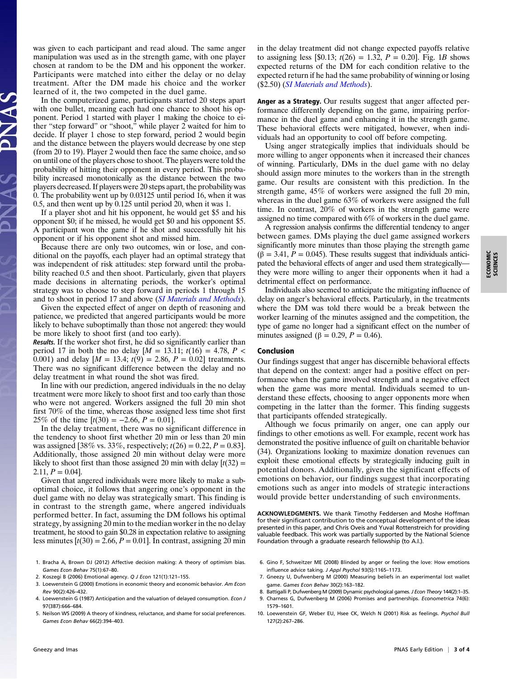was given to each participant and read aloud. The same anger manipulation was used as in the strength game, with one player chosen at random to be the DM and his opponent the worker. Participants were matched into either the delay or no delay treatment. After the DM made his choice and the worker learned of it, the two competed in the duel game.

In the computerized game, participants started 20 steps apart with one bullet, meaning each had one chance to shoot his opponent. Period 1 started with player 1 making the choice to either "step forward" or "shoot," while player 2 waited for him to decide. If player 1 chose to step forward, period 2 would begin and the distance between the players would decrease by one step (from 20 to 19). Player 2 would then face the same choice, and so on until one of the players chose to shoot. The players were told the probability of hitting their opponent in every period. This probability increased monotonically as the distance between the two players decreased. If players were 20 steps apart, the probability was 0. The probability went up by 0.03125 until period 16, when it was 0.5, and then went up by 0.125 until period 20, when it was 1.

If a player shot and hit his opponent, he would get \$5 and his opponent \$0; if he missed, he would get \$0 and his opponent \$5. A participant won the game if he shot and successfully hit his opponent or if his opponent shot and missed him.

Because there are only two outcomes, win or lose, and conditional on the payoffs, each player had an optimal strategy that was independent of risk attitudes: step forward until the probability reached 0.5 and then shoot. Particularly, given that players made decisions in alternating periods, the worker's optimal strategy was to choose to step forward in periods 1 through 15 and to shoot in period 17 and above ([SI Materials and Methods](http://www.pnas.org/lookup/suppl/doi:10.1073/pnas.1313789111/-/DCSupplemental/pnas.201313789SI.pdf?targetid=nameddest=STXT)).

Given the expected effect of anger on depth of reasoning and patience, we predicted that angered participants would be more likely to behave suboptimally than those not angered: they would be more likely to shoot first (and too early).

Results. If the worker shot first, he did so significantly earlier than period 17 in both the no delay  $[M = 13.11; t(16) = 4.78, P <$ 0.001) and delay  $[M = 13.4; t(9) = 2.86, P = 0.02]$  treatments. There was no significant difference between the delay and no delay treatment in what round the shot was fired.

In line with our prediction, angered individuals in the no delay treatment were more likely to shoot first and too early than those who were not angered. Workers assigned the full 20 min shot first 70% of the time, whereas those assigned less time shot first 25% of the time  $[t(30) = -2.66, P = 0.01]$ .

In the delay treatment, there was no significant difference in the tendency to shoot first whether 20 min or less than 20 min was assigned [38% vs. 33%, respectively;  $t(26) = 0.22, P = 0.83$ ]. Additionally, those assigned 20 min without delay were more likely to shoot first than those assigned 20 min with delay  $[t(32) =$  $2.11, P = 0.04$ .

Given that angered individuals were more likely to make a suboptimal choice, it follows that angering one's opponent in the duel game with no delay was strategically smart. This finding is in contrast to the strength game, where angered individuals performed better. In fact, assuming the DM follows his optimal strategy, by assigning 20 min to the median worker in the no delay treatment, he stood to gain \$0.28 in expectation relative to assigning less minutes  $[t(30) = 2.66, P = 0.01]$ . In contrast, assigning 20 min

5. Neilson WS (2009) A theory of kindness, reluctance, and shame for social preferences. Games Econ Behav 66(2):394–403.

in the delay treatment did not change expected payoffs relative to assigning less [\$0.13;  $t(26) = 1.32$ ,  $P = 0.20$ ]. Fig. 1B shows expected returns of the DM for each condition relative to the expected return if he had the same probability of winning or losing (\$2.50) ([SI Materials and Methods](http://www.pnas.org/lookup/suppl/doi:10.1073/pnas.1313789111/-/DCSupplemental/pnas.201313789SI.pdf?targetid=nameddest=STXT)).

Anger as a Strategy. Our results suggest that anger affected performance differently depending on the game, impairing performance in the duel game and enhancing it in the strength game. These behavioral effects were mitigated, however, when individuals had an opportunity to cool off before competing.

Using anger strategically implies that individuals should be more willing to anger opponents when it increased their chances of winning. Particularly, DMs in the duel game with no delay should assign more minutes to the workers than in the strength game. Our results are consistent with this prediction. In the strength game, 45% of workers were assigned the full 20 min, whereas in the duel game 63% of workers were assigned the full time. In contrast, 20% of workers in the strength game were assigned no time compared with 6% of workers in the duel game.

A regression analysis confirms the differential tendency to anger between games. DMs playing the duel game assigned workers significantly more minutes than those playing the strength game  $(\beta = 3.41, P = 0.045)$ . These results suggest that individuals anticipated the behavioral effects of anger and used them strategically they were more willing to anger their opponents when it had a detrimental effect on performance.

Individuals also seemed to anticipate the mitigating influence of delay on anger's behavioral effects. Particularly, in the treatments where the DM was told there would be a break between the worker learning of the minutes assigned and the competition, the type of game no longer had a significant effect on the number of minutes assigned ( $\beta = 0.29$ ,  $P = 0.46$ ).

Our findings suggest that anger has discernible behavioral effects that depend on the context: anger had a positive effect on performance when the game involved strength and a negative effect when the game was more mental. Individuals seemed to understand these effects, choosing to anger opponents more when competing in the latter than the former. This finding suggests that participants offended strategically.

Although we focus primarily on anger, one can apply our findings to other emotions as well. For example, recent work has demonstrated the positive influence of guilt on charitable behavior (34). Organizations looking to maximize donation revenues can exploit these emotional effects by strategically inducing guilt in potential donors. Additionally, given the significant effects of emotions on behavior, our findings suggest that incorporating emotions such as anger into models of strategic interactions would provide better understanding of such environments.

ACKNOWLEDGMENTS. We thank Timothy Feddersen and Moshe Hoffman for their significant contribution to the conceptual development of the ideas presented in this paper, and Chris Oveis and Yuval Rottenstreich for providing valuable feedback. This work was partially supported by the National Science Foundation through a graduate research fellowship (to A.I.).

- 6. Gino F, Schweitzer ME (2008) Blinded by anger or feeling the love: How emotions influence advice taking. J Appl Psychol 93(5):1165-1173.
- 7. Gneezy U, Dufwenberg M (2000) Measuring beliefs in an experimental lost wallet game. Games Econ Behav 30(2):163–182.
- 8. Battigalli P, Dufwenberg M (2009) Dynamic psychological games. J Econ Theory 144(2):1-35. 9. Charness G, Dufwenberg M (2006) Promises and partnerships. Econometrica 74(6): 1579–1601.
- 10. Loewenstein GF, Weber EU, Hsee CK, Welch N (2001) Risk as feelings. Psychol Bull 127(2):267–286.

<sup>1.</sup> Bracha A, Brown DJ (2012) Affective decision making: A theory of optimism bias. Games Econ Behav 75(1):67–80.

<sup>2.</sup> Koszegi B (2006) Emotional agency. Q J Econ 121(1):121–155.

<sup>3.</sup> Loewenstein G (2000) Emotions in economic theory and economic behavior. Am Econ Rev 90(2):426–432.

<sup>4.</sup> Loewenstein G (1987) Anticipation and the valuation of delayed consumption. Econ J 97(387):666–684.